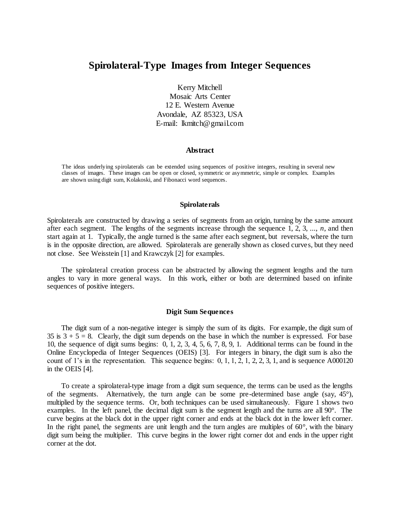# **Spirolateral-Type Images from Integer Sequences**

Kerry Mitchell

Mosaic Arts Center 12 E. Western Avenue Avondale, AZ 85323, USA E-mail: lkmitch@gmail.com

### **Abstract**

The ideas underlying spirolaterals can be extended using sequences of positive integers, resulting in several new classes of images. These images can be open or closed, symmetric or asymmetric, simple or complex. Examples are shown using digit sum, Kolakoski, and Fibonacci word sequences.

#### **Spirolaterals**

Spirolaterals are constructed by drawing a series of segments from an origin, turning by the same amount after each segment. The lengths of the segments increase through the sequence 1, 2, 3, ..., *n*, and then start again at 1. Typically, the angle turned is the same after each segment, but reversals, where the turn is in the opposite direction, are allowed. Spirolaterals are generally shown as closed curves, but they need not close. See Weisstein [1] and Krawczyk [2] for examples.

The spirolateral creation process can be abstracted by allowing the segment lengths and the turn angles to vary in more general ways. In this work, either or both are determined based on infinite sequences of positive integers.

#### **Digit Sum Sequences**

The digit sum of a non-negative integer is simply the sum of its digits. For example, the digit sum of 35 is  $3 + 5 = 8$ . Clearly, the digit sum depends on the base in which the number is expressed. For base 10, the sequence of digit sums begins: 0, 1, 2, 3, 4, 5, 6, 7, 8, 9, 1. Additional terms can be found in the Online Encyclopedia of Integer Sequences (OEIS) [3]. For integers in binary, the digit sum is also the count of 1's in the representation. This sequence begins: 0, 1, 1, 2, 1, 2, 2, 3, 1, and is sequence A000120 in the OEIS [4].

To create a spirolateral-type image from a digit sum sequence, the terms can be used as the lengths of the segments. Alternatively, the turn angle can be some pre-determined base angle (say, 45°), multiplied by the sequence terms. Or, both techniques can be used simultaneously. Figure 1 shows two examples. In the left panel, the decimal digit sum is the segment length and the turns are all 90°. The curve begins at the black dot in the upper right corner and ends at the black dot in the lower left corner. In the right panel, the segments are unit length and the turn angles are multiples of  $60^\circ$ , with the binary digit sum being the multiplier. This curve begins in the lower right corner dot and ends in the upper right corner at the dot.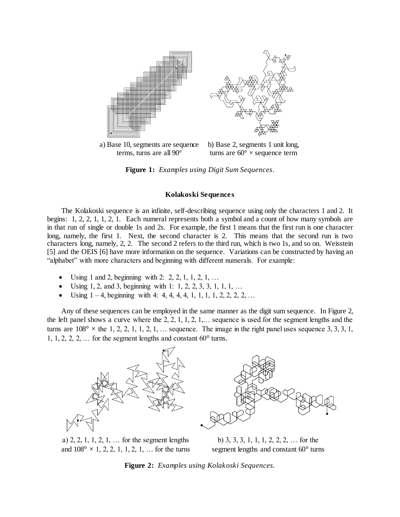

a) Base 10, segments are sequence terms, turns are all 90° b) Base 2, segments 1 unit long, turns are  $60^{\circ} \times$  sequence term

**Figure 1:** *Examples using Digit Sum Sequences.*

#### **Kolakoski Sequences**

The Kolakoski sequence is an infinite, self-describing sequence using only the characters 1 and 2. It begins: 1, 2, 2, 1, 1, 2, 1. Each numeral represents both a symbol and a count of how many symbols are in that run of single or double 1s and 2s. For example, the first 1 means that the first run is one character long, namely, the first 1. Next, the second character is 2. This means that the second run is two characters long, namely, 2, 2. The second 2 refers to the third run, which is two 1s, and so on. Weisstein [5] and the OEIS [6] have more information on the sequence. Variations can be constructed by having an "alphabet" with more characters and beginning with different numerals. For example:

- Using 1 and 2, beginning with 2: 2, 2, 1, 1, 2, 1, ...
- Using 1, 2, and 3, beginning with 1: 1, 2, 2, 3, 3, 1, 1, 1, ...
- Using  $1 4$ , beginning with 4: 4, 4, 4, 4, 1, 1, 1, 1, 2, 2, 2, 2, ...

Any of these sequences can be employed in the same manner as the digit sum sequence. In Figure 2, the left panel shows a curve where the 2, 2, 1, 1, 2, 1,… sequence is used for the segment lengths and the turns are  $108^{\circ}$  × the 1, 2, 2, 1, 1, 2, 1, ... sequence. The image in the right panel uses sequence 3, 3, 3, 1, 1, 1, 2, 2, 2,  $\ldots$  for the segment lengths and constant  $60^{\circ}$  turns.



a) 2, 2, 1, 1, 2, 1, … for the segment lengths and  $108^{\circ} \times 1$ , 2, 2, 1, 1, 2, 1, ... for the turns

b) 3, 3, 3, 1, 1, 1, 2, 2, 2, … for the segment lengths and constant 60° turns

**Figure 2:** *Examples using Kolakoski Sequences.*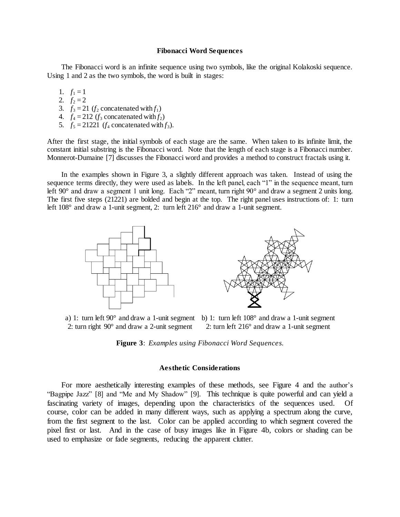#### **Fibonacci Word Sequences**

The Fibonacci word is an infinite sequence using two symbols, like the original Kolakoski sequence. Using 1 and 2 as the two symbols, the word is built in stages:

1.  $f_1 = 1$ 

- 2.  $f_2 = 2$
- 3.  $f_3 = 21$  ( $f_2$  concatenated with  $f_1$ )
- 4.  $f_4 = 212$  ( $f_3$  concatenated with  $f_2$ )
- 5.  $f_5 = 21221$  ( $f_4$  concatenated with  $f_3$ ).

After the first stage, the initial symbols of each stage are the same. When taken to its infinite limit, the constant initial substring is the Fibonacci word. Note that the length of each stage is a Fibonacci number. Monnerot-Dumaine [7] discusses the Fibonacci word and provides a method to construct fractals using it.

In the examples shown in Figure 3, a slightly different approach was taken. Instead of using the sequence terms directly, they were used as labels. In the left panel, each "1" in the sequence meant, turn left 90° and draw a segment 1 unit long. Each "2" meant, turn right 90° and draw a segment 2 units long. The first five steps (21221) are bolded and begin at the top. The right panel uses instructions of: 1: turn left 108° and draw a 1-unit segment, 2: turn left 216° and draw a 1-unit segment.



a) 1: turn left 90° and draw a 1-unit segment b) 1: turn left 108° and draw a 1-unit segment 2: turn right 90° and draw a 2-unit segment 2: turn left 216° and draw a 1-unit segment



## **Aesthetic Considerations**

For more aesthetically interesting examples of these methods, see Figure 4 and the author's "Bagpipe Jazz" [8] and "Me and My Shadow" [9]. This technique is quite powerful and can yield a fascinating variety of images, depending upon the characteristics of the sequences used. Of course, color can be added in many different ways, such as applying a spectrum along the curve, from the first segment to the last. Color can be applied according to which segment covered the pixel first or last. And in the case of busy images like in Figure 4b, colors or shading can be used to emphasize or fade segments, reducing the apparent clutter.